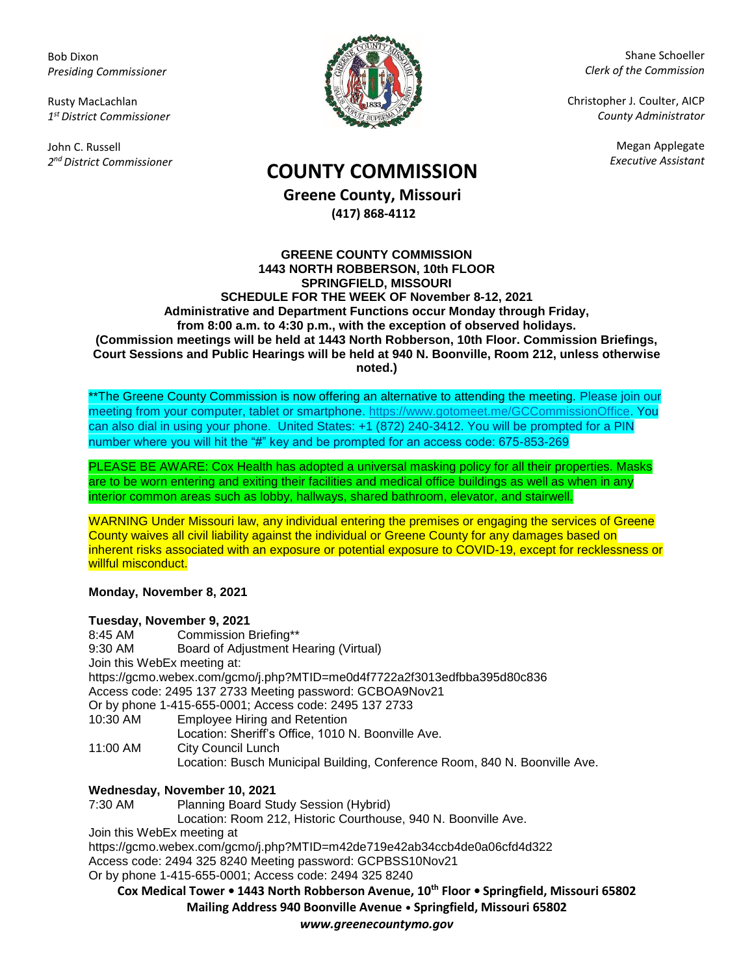Bob Dixon *Presiding Commissioner*

Rusty MacLachlan *1 st District Commissioner*

John C. Russell *2 nd District Commissioner*



Shane Schoeller *Clerk of the Commission*

Christopher J. Coulter, AICP *County Administrator*

Megan Applegate

# *Executive Assistant* **COUNTY COMMISSION**

**Greene County, Missouri (417) 868-4112**

### **GREENE COUNTY COMMISSION 1443 NORTH ROBBERSON, 10th FLOOR SPRINGFIELD, MISSOURI SCHEDULE FOR THE WEEK OF November 8-12, 2021 Administrative and Department Functions occur Monday through Friday, from 8:00 a.m. to 4:30 p.m., with the exception of observed holidays. (Commission meetings will be held at 1443 North Robberson, 10th Floor. Commission Briefings, Court Sessions and Public Hearings will be held at 940 N. Boonville, Room 212, unless otherwise noted.)**

\*\*The Greene County Commission is now offering an alternative to attending the meeting. Please join our meeting from your computer, tablet or smartphone. [https://www.gotomeet.me/GCCommissionOffice.](https://www.gotomeet.me/GCCommissionOffice) You can also dial in using your phone. United States: +1 (872) 240-3412. You will be prompted for a PIN number where you will hit the "#" key and be prompted for an access code: 675-853-269

PLEASE BE AWARE: Cox Health has adopted a universal masking policy for all their properties. Masks are to be worn entering and exiting their facilities and medical office buildings as well as when in any interior common areas such as lobby, hallways, shared bathroom, elevator, and stairwell.

WARNING Under Missouri law, any individual entering the premises or engaging the services of Greene County waives all civil liability against the individual or Greene County for any damages based on inherent risks associated with an exposure or potential exposure to COVID-19, except for recklessness or willful misconduct.

# **Monday, November 8, 2021**

|                             | Tuesday, November 9, 2021                                                  |
|-----------------------------|----------------------------------------------------------------------------|
| 8:45 AM                     | Commission Briefing**                                                      |
| 9:30 AM                     | Board of Adjustment Hearing (Virtual)                                      |
| Join this WebEx meeting at: |                                                                            |
|                             | https://gcmo.webex.com/gcmo/j.php?MTID=me0d4f7722a2f3013edfbba395d80c836   |
|                             | Access code: 2495 137 2733 Meeting password: GCBOA9Nov21                   |
|                             | Or by phone 1-415-655-0001; Access code: 2495 137 2733                     |
| 10:30 AM                    | <b>Employee Hiring and Retention</b>                                       |
|                             | Location: Sheriff's Office, 1010 N. Boonville Ave.                         |
| 11:00 AM                    | <b>City Council Lunch</b>                                                  |
|                             | Location: Busch Municipal Building, Conference Room, 840 N. Boonville Ave. |
|                             | Wednesday, November 10, 2021                                               |
| 7:30 AM                     | Planning Board Study Session (Hybrid)                                      |

Location: Room 212, Historic Courthouse, 940 N. Boonville Ave.

Join this WebEx meeting at

<https://gcmo.webex.com/gcmo/j.php?MTID=m42de719e42ab34ccb4de0a06cfd4d322> Access code: 2494 325 8240 Meeting password: GCPBSS10Nov21

Or by phone 1-415-655-0001; Access code: 2494 325 8240

**Cox Medical Tower • 1443 North Robberson Avenue, 10th Floor • Springfield, Missouri 65802 Mailing Address 940 Boonville Avenue • Springfield, Missouri 65802**

*www.greenecountymo.gov*